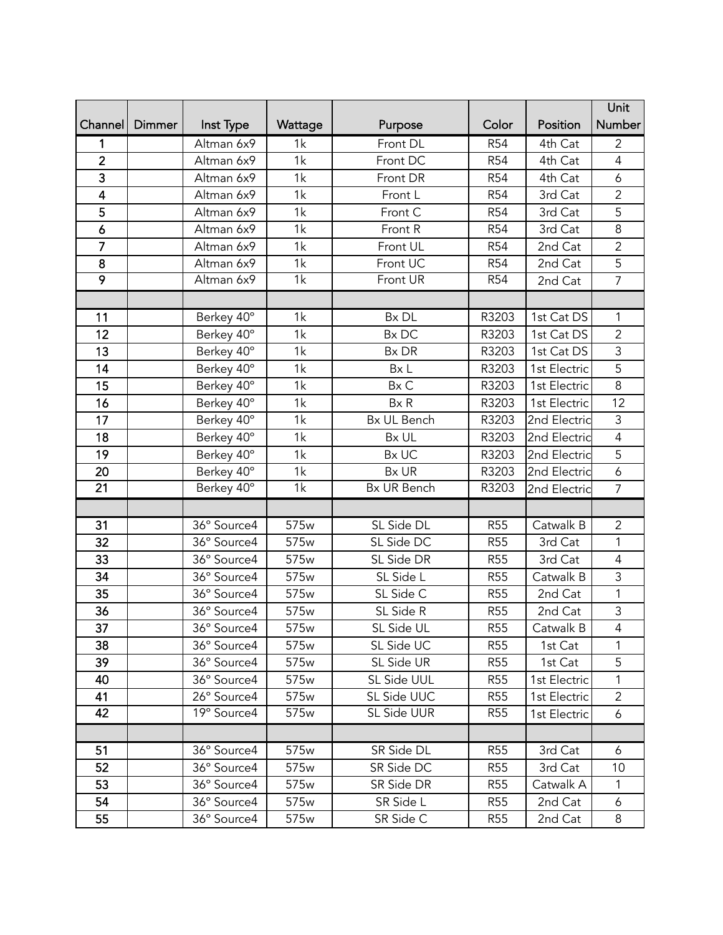|                         |        |               |                  |             |            |              | Unit           |
|-------------------------|--------|---------------|------------------|-------------|------------|--------------|----------------|
| Channel                 | Dimmer | Inst Type     | Wattage          | Purpose     | Color      | Position     | Number         |
| 1                       |        | Altman 6x9    | 1k               | Front DL    | <b>R54</b> | 4th Cat      | $\overline{2}$ |
| $\overline{2}$          |        | Altman 6x9    | 1k               | Front DC    | <b>R54</b> | 4th Cat      | $\overline{4}$ |
| $\overline{3}$          |        | Altman 6x9    | 1k               | Front DR    | <b>R54</b> | 4th Cat      | 6              |
| $\overline{\mathbf{4}}$ |        | Altman 6x9    | 1k               | Front L     | <b>R54</b> | 3rd Cat      | $\overline{2}$ |
| 5                       |        | Altman 6x9    | 1k               | Front C     | <b>R54</b> | 3rd Cat      | 5              |
| $\boldsymbol{6}$        |        | Altman 6x9    | 1k               | Front R     | <b>R54</b> | 3rd Cat      | 8              |
| $\overline{7}$          |        | Altman 6x9    | 1k               | Front UL    | <b>R54</b> | 2nd Cat      | $\overline{2}$ |
| 8                       |        | Altman 6x9    | 1k               | Front UC    | <b>R54</b> | 2nd Cat      | 5              |
| $\overline{9}$          |        | Altman 6x9    | $\overline{1k}$  | Front UR    | <b>R54</b> | 2nd Cat      | $\overline{7}$ |
|                         |        |               |                  |             |            |              |                |
| 11                      |        | Berkey 40°    | 1k               | Bx DL       | R3203      | 1st Cat DS   | 1              |
| 12                      |        | Berkey 40°    | 1k               | Bx DC       | R3203      | 1st Cat DS   | $\overline{2}$ |
| 13                      |        | Berkey 40°    | 1k               | Bx DR       | R3203      | 1st Cat DS   | 3              |
| 14                      |        | Berkey 40°    | 1k               | Bx L        | R3203      | 1st Electric | $\overline{5}$ |
| 15                      |        | Berkey 40°    | 1k               | Bx C        | R3203      | 1st Electric | $\overline{8}$ |
| 16                      |        | Berkey 40°    | 1k               | Bx R        | R3203      | 1st Electric | 12             |
| 17                      |        | Berkey 40°    | 1k               | Bx UL Bench | R3203      | 2nd Electric | 3              |
| 18                      |        | Berkey 40°    | 1k               | Bx UL       | R3203      | 2nd Electric | $\overline{4}$ |
| 19                      |        | Berkey 40°    | 1k               | Bx UC       | R3203      | 2nd Electric | $\overline{5}$ |
| 20                      |        | Berkey 40°    | 1k               | Bx UR       | R3203      | 2nd Electric | 6              |
| 21                      |        | Berkey 40°    | 1k               | Bx UR Bench | R3203      | 2nd Electric | $\overline{7}$ |
|                         |        |               |                  |             |            |              |                |
| 31                      |        | 36° Source4   | 575w             | SL Side DL  | <b>R55</b> | Catwalk B    | $\overline{2}$ |
| $\overline{32}$         |        | 36° Source4   | 575 <sub>w</sub> | SL Side DC  | <b>R55</b> | 3rd Cat      | 1              |
| 33                      |        | 36° Source4   | 575w             | SL Side DR  | <b>R55</b> | 3rd Cat      | $\overline{4}$ |
| 34                      |        | 36° Source4   | 575 <sub>w</sub> | SL Side L   | <b>R55</b> | Catwalk B    | 3              |
| $\overline{35}$         |        | 36° Source4   | 575w             | SL Side C   | <b>R55</b> | 2nd Cat      | 1              |
| 36                      |        | 36° Source4   | 575w             | SL Side R   | <b>R55</b> | 2nd Cat      | 3              |
| 37                      |        | 36° Source4   | 575w             | SL Side UL  | <b>R55</b> | Catwalk B    | 4              |
| 38                      |        | 36° Source4   | 575 <sub>w</sub> | SL Side UC  | <b>R55</b> | 1st Cat      | 1              |
| 39                      |        | 36° Source4   | 575w             | SL Side UR  | <b>R55</b> | 1st Cat      | 5              |
| 40                      |        | 36° Source4   | 575w             | SL Side UUL | <b>R55</b> | 1st Electric | 1              |
| 41                      |        | 26° Source4   | 575w             | SL Side UUC | <b>R55</b> | 1st Electric | $\overline{2}$ |
| 42                      |        | $19°$ Source4 | 575 <sub>w</sub> | SL Side UUR | <b>R55</b> | 1st Electric | 6              |
|                         |        |               |                  |             |            |              |                |
| 51                      |        | 36° Source4   | 575w             | SR Side DL  | <b>R55</b> | 3rd Cat      | 6              |
| 52                      |        | 36° Source4   | 575w             | SR Side DC  | <b>R55</b> | 3rd Cat      | 10             |
| 53                      |        | 36° Source4   | 575w             | SR Side DR  | <b>R55</b> | Catwalk A    | $\mathbf{1}$   |
| 54                      |        | 36° Source4   | 575w             | SR Side L   | <b>R55</b> | 2nd Cat      | 6              |
| 55                      |        | 36° Source4   | 575 <sub>w</sub> | SR Side C   | <b>R55</b> | 2nd Cat      | 8              |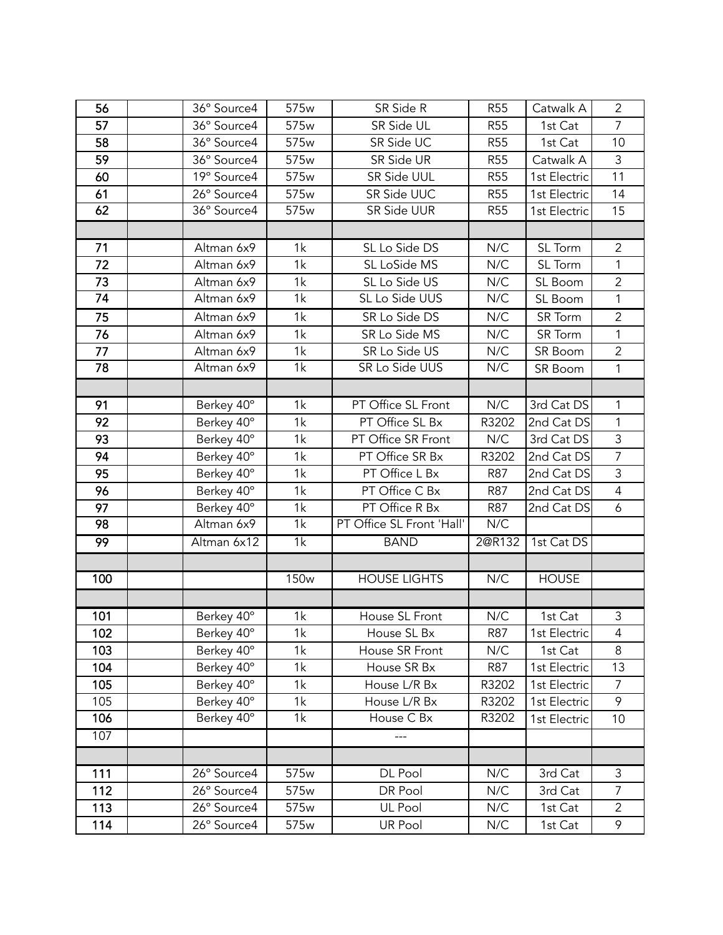| 56  | 36° Source4   | 575w             | SR Side R                 | <b>R55</b>       | Catwalk A      | $\overline{2}$ |
|-----|---------------|------------------|---------------------------|------------------|----------------|----------------|
| 57  | 36° Source4   | 575w             | SR Side UL                | <b>R55</b>       | 1st Cat        | $\overline{7}$ |
| 58  | 36° Source4   | 575w             | SR Side UC                | <b>R55</b>       | 1st Cat        | 10             |
| 59  | 36° Source4   | 575w             | SR Side UR                | <b>R55</b>       | Catwalk A      | $\overline{3}$ |
| 60  | 19° Source4   | 575w             | SR Side UUL               | <b>R55</b>       | 1st Electric   | 11             |
| 61  | 26° Source4   | 575w             | SR Side UUC               | <b>R55</b>       | 1st Electric   | 14             |
| 62  | $36°$ Source4 | 575w             | SR Side UUR               | <b>R55</b>       | 1st Electric   | 15             |
|     |               |                  |                           |                  |                |                |
| 71  | Altman 6x9    | 1k               | SL Lo Side DS             | N/C              | SL Torm        | $\overline{2}$ |
| 72  | Altman 6x9    | 1k               | SL LoSide MS              | N/C              | SL Torm        | $\mathbf{1}$   |
| 73  | Altman 6x9    | 1k               | SL Lo Side US             | N/C              | SL Boom        | $\overline{2}$ |
| 74  | Altman 6x9    | 1k               | SL Lo Side UUS            | N/C              | SL Boom        | 1              |
| 75  | Altman 6x9    | 1k               | SR Lo Side DS             | $N/\overline{C}$ | SR Torm        | $\overline{2}$ |
| 76  | Altman 6x9    | 1k               | SR Lo Side MS             | N/C              | <b>SR</b> Torm | 1              |
| 77  | Altman 6x9    | 1k               | SR Lo Side US             | N/C              | SR Boom        | $\overline{2}$ |
| 78  | Altman 6x9    | 1k               | SR Lo Side UUS            | N/C              | SR Boom        | $\mathbf{1}$   |
|     |               |                  |                           |                  |                |                |
| 91  | Berkey 40°    | 1k               | PT Office SL Front        | N/C              | 3rd Cat DS     | 1              |
| 92  | Berkey 40°    | 1k               | PT Office SL Bx           | R3202            | 2nd Cat DS     | $\mathbf{1}$   |
| 93  | Berkey 40°    | 1k               | PT Office SR Front        | N/C              | 3rd Cat DS     | $\mathsf 3$    |
| 94  | Berkey 40°    | 1k               | PT Office SR Bx           | R3202            | 2nd Cat DS     | $\overline{7}$ |
| 95  | Berkey 40°    | 1k               | PT Office L Bx            | <b>R87</b>       | 2nd Cat DS     | $\mathsf 3$    |
| 96  | Berkey 40°    | 1k               | PT Office C Bx            | <b>R87</b>       | 2nd Cat DS     | $\overline{4}$ |
| 97  | Berkey 40°    | 1k               | PT Office R Bx            | <b>R87</b>       | 2nd Cat DS     | 6              |
| 98  | Altman 6x9    | 1k               | PT Office SL Front 'Hall' | N/C              |                |                |
| 99  | Altman 6x12   | $\overline{1k}$  | <b>BAND</b>               | 2@R132           | 1st Cat DS     |                |
|     |               |                  |                           |                  |                |                |
| 100 |               | <b>150w</b>      | <b>HOUSE LIGHTS</b>       | N/C              | <b>HOUSE</b>   |                |
|     |               |                  |                           |                  |                |                |
| 101 | Berkey 40°    | 1k               | House SL Front            | N/C              | 1st Cat        | $\mathfrak{Z}$ |
| 102 | Berkey 40°    | 1k               | House SL Bx               | <b>R87</b>       | 1st Electric   | $\overline{4}$ |
| 103 | Berkey 40°    | 1k               | House SR Front            | N/C              | 1st Cat        | 8              |
| 104 | Berkey 40°    | 1k               | House SR Bx               | R87              | 1st Electric   | 13             |
| 105 | Berkey 40°    | 1k               | House L/R Bx              | R3202            | 1st Electric   | $\overline{7}$ |
| 105 | Berkey 40°    | 1k               | House L/R Bx              | R3202            | 1st Electric   | 9              |
| 106 | Berkey 40°    | 1k               | House C Bx                | R3202            | 1st Electric   | 10             |
| 107 |               |                  |                           |                  |                |                |
|     |               |                  |                           |                  |                |                |
| 111 | 26° Source4   | 575 <sub>w</sub> | DL Pool                   | N/C              | 3rd Cat        | 3              |
| 112 | 26° Source4   | 575w             | DR Pool                   | N/C              | 3rd Cat        | $\overline{7}$ |
| 113 | 26° Source4   | 575w             | UL Pool                   | N/C              | 1st Cat        | $\overline{2}$ |
| 114 | 26° Source4   | 575 <sub>w</sub> | <b>UR Pool</b>            | N/C              | 1st Cat        | 9              |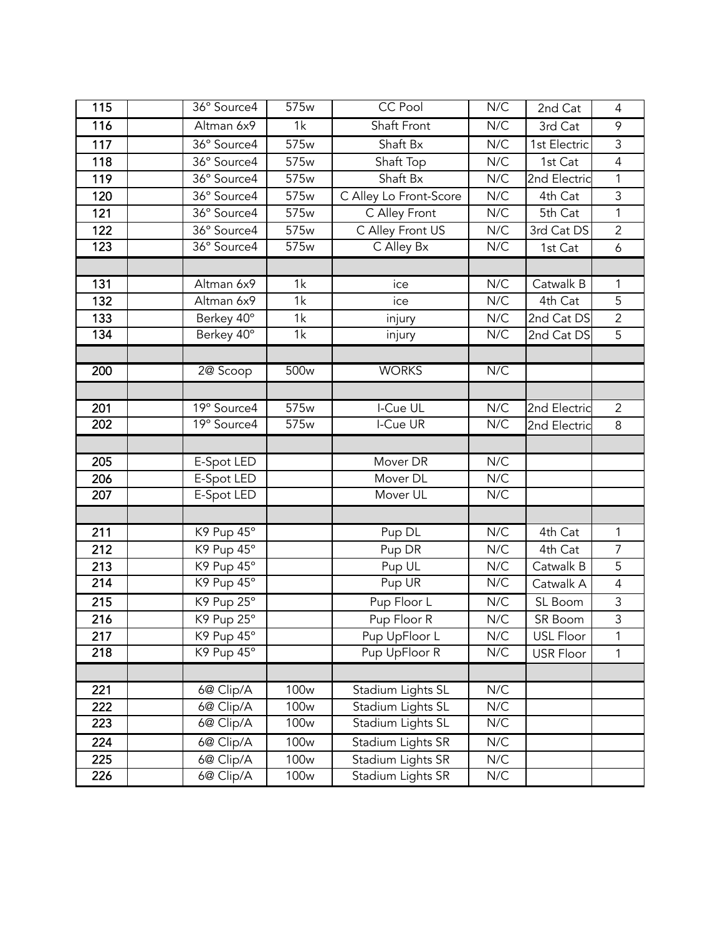| 115              | 36° Source4 | 575w             | CC Pool                | N/C | 2nd Cat          | $\overline{4}$   |
|------------------|-------------|------------------|------------------------|-----|------------------|------------------|
| 116              | Altman 6x9  | 1k               | Shaft Front            | N/C | 3rd Cat          | 9                |
| 117              | 36° Source4 | 575 <sub>w</sub> | Shaft Bx               | N/C | 1st Electric     | $\mathfrak{Z}$   |
| 118              | 36° Source4 | 575 <sub>w</sub> | Shaft Top              | N/C | 1st Cat          | $\overline{4}$   |
| 119              | 36° Source4 | 575w             | Shaft Bx               | N/C | 2nd Electric     | 1                |
| 120              | 36° Source4 | 575w             | C Alley Lo Front-Score | N/C | 4th Cat          | 3                |
| 121              | 36° Source4 | 575w             | C Alley Front          | N/C | 5th Cat          | $\mathbf 1$      |
| 122              | 36° Source4 | 575w             | C Alley Front US       | N/C | 3rd Cat DS       | $\overline{2}$   |
| 123              | 36° Source4 | 575w             | C Alley Bx             | N/C | 1st Cat          | $\boldsymbol{6}$ |
|                  |             |                  |                        |     |                  |                  |
| 131              | Altman 6x9  | 1k               | ice                    | N/C | Catwalk B        | 1                |
| 132              | Altman 6x9  | 1k               | ice                    | N/C | 4th Cat          | 5                |
| 133              | Berkey 40°  | 1k               | injury                 | N/C | 2nd Cat DS       | $\overline{c}$   |
| 134              | Berkey 40°  | 1k               | injury                 | N/C | 2nd Cat DS       | 5                |
|                  |             |                  |                        |     |                  |                  |
| 200              | 2@ Scoop    | 500 <sub>w</sub> | <b>WORKS</b>           | N/C |                  |                  |
|                  |             |                  |                        |     |                  |                  |
| 201              | 19° Source4 | 575w             | I-Cue UL               | N/C | 2nd Electric     | $\overline{2}$   |
| $\overline{202}$ | 19° Source4 | 575w             | I-Cue UR               | N/C | 2nd Electric     | 8                |
|                  |             |                  |                        |     |                  |                  |
| 205              | E-Spot LED  |                  | Mover DR               | N/C |                  |                  |
| 206              | E-Spot LED  |                  | Mover DL               | N/C |                  |                  |
| 207              | E-Spot LED  |                  | Mover UL               | N/C |                  |                  |
|                  |             |                  |                        |     |                  |                  |
| 211              | K9 Pup 45°  |                  | Pup DL                 | N/C | 4th Cat          | 1                |
| 212              | K9 Pup 45°  |                  | Pup DR                 | N/C | 4th Cat          | $\overline{7}$   |
| 213              | K9 Pup 45°  |                  | Pup UL                 | N/C | Catwalk B        | $\overline{5}$   |
| 214              | K9 Pup 45°  |                  | Pup UR                 | N/C | Catwalk A        | $\overline{4}$   |
| 215              | K9 Pup 25°  |                  | Pup Floor L            | N/C | SL Boom          | 3                |
| 216              | K9 Pup 25°  |                  | Pup Floor R            | N/C | SR Boom          | $\overline{3}$   |
| 217              | K9 Pup 45°  |                  | Pup UpFloor L          | N/C | USL Floor        | 1                |
| 218              | K9 Pup 45°  |                  | Pup UpFloor R          | N/C | <b>USR Floor</b> | 1                |
|                  |             |                  |                        |     |                  |                  |
| 221              | 6@ Clip/A   | 100 <sub>w</sub> | Stadium Lights SL      | N/C |                  |                  |
| 222              | 6@ Clip/A   | 100 <sub>w</sub> | Stadium Lights SL      | N/C |                  |                  |
| 223              | 6@ Clip/A   | 100 <sub>w</sub> | Stadium Lights SL      | N/C |                  |                  |
| 224              | 6@ Clip/A   | 100 <sub>w</sub> | Stadium Lights SR      | N/C |                  |                  |
| 225              | 6@ Clip/A   | 100 <sub>w</sub> | Stadium Lights SR      | N/C |                  |                  |
| 226              | 6@ Clip/A   | 100 <sub>w</sub> | Stadium Lights SR      | N/C |                  |                  |